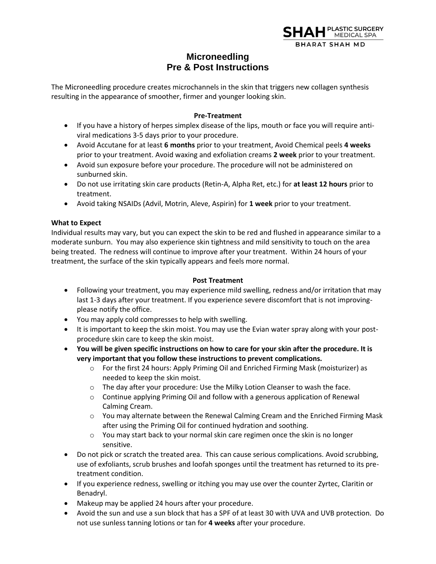

## **Microneedling Pre & Post Instructions**

The Microneedling procedure creates microchannels in the skin that triggers new collagen synthesis resulting in the appearance of smoother, firmer and younger looking skin.

## **Pre-Treatment**

- If you have a history of herpes simplex disease of the lips, mouth or face you will require antiviral medications 3-5 days prior to your procedure.
- Avoid Accutane for at least **6 months** prior to your treatment, Avoid Chemical peels **4 weeks** prior to your treatment. Avoid waxing and exfoliation creams **2 week** prior to your treatment.
- Avoid sun exposure before your procedure. The procedure will not be administered on sunburned skin.
- Do not use irritating skin care products (Retin-A, Alpha Ret, etc.) for **at least 12 hours** prior to treatment.
- Avoid taking NSAIDs (Advil, Motrin, Aleve, Aspirin) for **1 week** prior to your treatment.

## **What to Expect**

Individual results may vary, but you can expect the skin to be red and flushed in appearance similar to a moderate sunburn. You may also experience skin tightness and mild sensitivity to touch on the area being treated. The redness will continue to improve after your treatment. Within 24 hours of your treatment, the surface of the skin typically appears and feels more normal.

## **Post Treatment**

- Following your treatment, you may experience mild swelling, redness and/or irritation that may last 1-3 days after your treatment. If you experience severe discomfort that is not improvingplease notify the office.
- You may apply cold compresses to help with swelling.
- It is important to keep the skin moist. You may use the Evian water spray along with your postprocedure skin care to keep the skin moist.
- **You will be given specific instructions on how to care for your skin after the procedure. It is very important that you follow these instructions to prevent complications.** 
	- o For the first 24 hours: Apply Priming Oil and Enriched Firming Mask (moisturizer) as needed to keep the skin moist.
	- o The day after your procedure: Use the Milky Lotion Cleanser to wash the face.
	- $\circ$  Continue applying Priming Oil and follow with a generous application of Renewal Calming Cream.
	- $\circ$  You may alternate between the Renewal Calming Cream and the Enriched Firming Mask after using the Priming Oil for continued hydration and soothing.
	- o You may start back to your normal skin care regimen once the skin is no longer sensitive.
- Do not pick or scratch the treated area. This can cause serious complications. Avoid scrubbing, use of exfoliants, scrub brushes and loofah sponges until the treatment has returned to its pretreatment condition.
- If you experience redness, swelling or itching you may use over the counter Zyrtec, Claritin or Benadryl.
- Makeup may be applied 24 hours after your procedure.
- Avoid the sun and use a sun block that has a SPF of at least 30 with UVA and UVB protection. Do not use sunless tanning lotions or tan for **4 weeks** after your procedure.